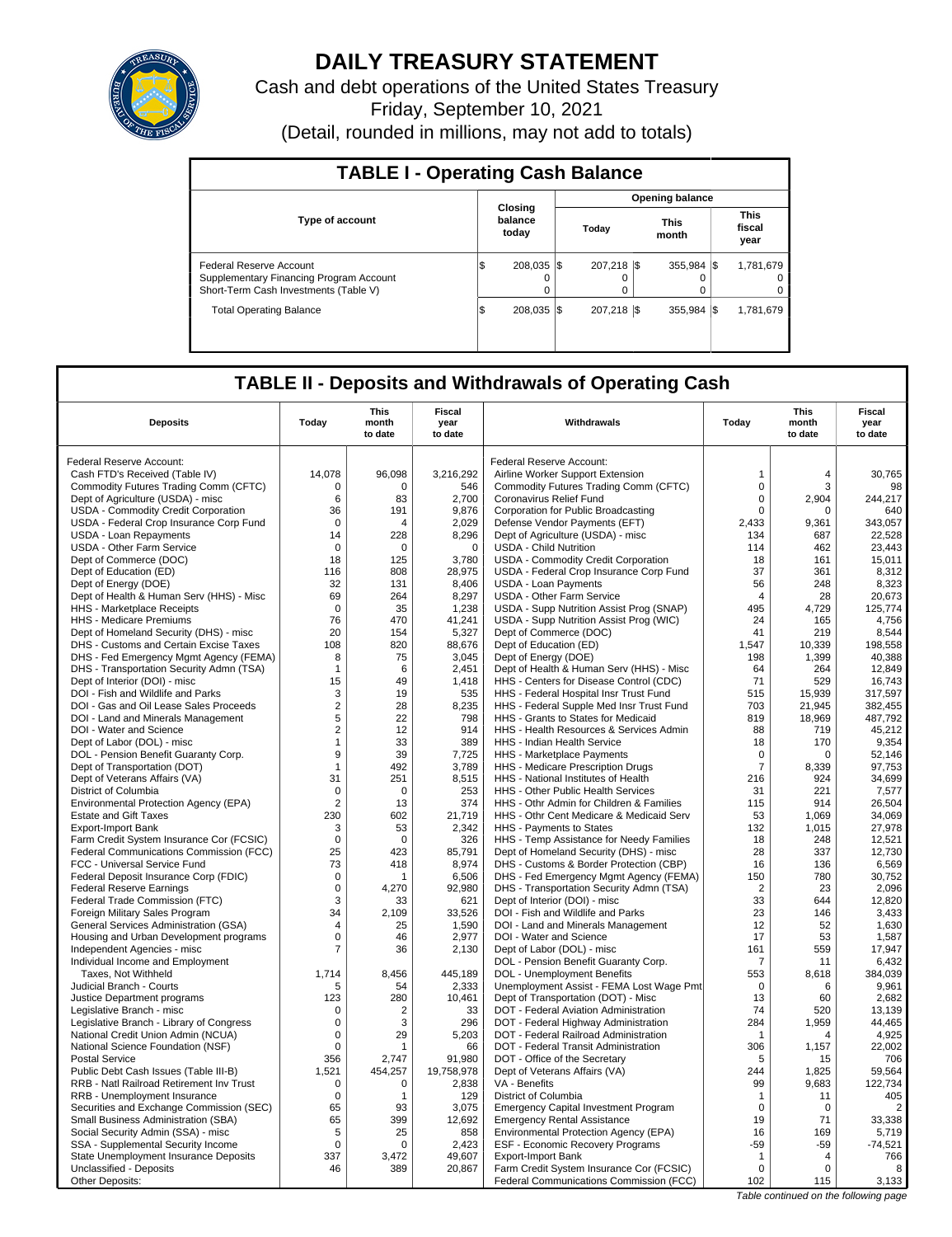

# **DAILY TREASURY STATEMENT**

Cash and debt operations of the United States Treasury Friday, September 10, 2021 (Detail, rounded in millions, may not add to totals)

| <b>TABLE I - Operating Cash Balance</b>                                                                     |                             |  |                         |                        |                            |  |                               |  |  |  |  |  |
|-------------------------------------------------------------------------------------------------------------|-----------------------------|--|-------------------------|------------------------|----------------------------|--|-------------------------------|--|--|--|--|--|
|                                                                                                             |                             |  |                         | <b>Opening balance</b> |                            |  |                               |  |  |  |  |  |
| <b>Type of account</b>                                                                                      | Closing<br>balance<br>today |  | Today                   |                        | <b>This</b><br>month       |  | <b>This</b><br>fiscal<br>year |  |  |  |  |  |
| Federal Reserve Account<br>Supplementary Financing Program Account<br>Short-Term Cash Investments (Table V) | 208.035 \\$<br>ß.           |  | 207.218 \\$<br>$\Omega$ |                        | $355.984$ $\sqrt{\$}$<br>0 |  | 1.781.679<br>$^{\circ}$<br>0  |  |  |  |  |  |
| <b>Total Operating Balance</b>                                                                              | 208.035 \\$<br>1\$          |  | 207.218 \\$             |                        | $355.984$ $\sqrt{\$}$      |  | 1,781,679                     |  |  |  |  |  |

## **TABLE II - Deposits and Withdrawals of Operating Cash**

| <b>Deposits</b>                                                          | Today                      | <b>This</b><br>month<br>to date | <b>Fiscal</b><br>year<br>to date | Withdrawals                                                               | Today             | <b>This</b><br>month<br>to date |                                       |
|--------------------------------------------------------------------------|----------------------------|---------------------------------|----------------------------------|---------------------------------------------------------------------------|-------------------|---------------------------------|---------------------------------------|
| Federal Reserve Account:                                                 |                            |                                 |                                  | Federal Reserve Account:                                                  |                   |                                 |                                       |
| Cash FTD's Received (Table IV)                                           | 14,078                     | 96,098                          | 3,216,292                        | Airline Worker Support Extension                                          | 1                 | $\overline{4}$                  | 30,765                                |
| Commodity Futures Trading Comm (CFTC)                                    | $\mathbf 0$                | 0                               | 546                              | Commodity Futures Trading Comm (CFTC)                                     | $\mathbf 0$       | 3                               | 98                                    |
| Dept of Agriculture (USDA) - misc                                        | 6                          | 83                              | 2,700                            | Coronavirus Relief Fund                                                   | $\mathbf 0$       | 2,904                           | 244,217                               |
| USDA - Commodity Credit Corporation                                      | 36                         | 191                             | 9,876                            | Corporation for Public Broadcasting                                       | $\mathbf 0$       | $\mathbf 0$                     | 640                                   |
| USDA - Federal Crop Insurance Corp Fund                                  | $\mathbf 0$                | $\overline{4}$                  | 2,029                            | Defense Vendor Payments (EFT)                                             | 2,433             | 9,361                           | 343,057                               |
| <b>USDA - Loan Repayments</b>                                            | 14                         | 228                             | 8,296                            | Dept of Agriculture (USDA) - misc                                         | 134               | 687                             | 22.528                                |
| <b>USDA - Other Farm Service</b>                                         | $\mathbf 0$                | 0                               | $\mathbf 0$                      | <b>USDA - Child Nutrition</b>                                             | 114               | 462                             | 23,443                                |
| Dept of Commerce (DOC)                                                   | 18                         | 125                             | 3,780                            | USDA - Commodity Credit Corporation                                       | 18                | 161                             | 15,011                                |
| Dept of Education (ED)                                                   | 116                        | 808                             | 28,975                           | USDA - Federal Crop Insurance Corp Fund                                   | 37                | 361                             | 8,312                                 |
| Dept of Energy (DOE)                                                     | 32                         | 131                             | 8,406                            | <b>USDA - Loan Payments</b>                                               | 56                | 248                             | 8,323                                 |
| Dept of Health & Human Serv (HHS) - Misc                                 | 69                         | 264                             | 8,297                            | USDA - Other Farm Service                                                 | $\overline{4}$    | 28                              | 20,673                                |
| HHS - Marketplace Receipts                                               | $\mathbf 0$                | 35                              | 1,238                            | USDA - Supp Nutrition Assist Prog (SNAP)                                  | 495               | 4,729                           | 125,774                               |
| HHS - Medicare Premiums                                                  | 76                         | 470                             | 41,241                           | USDA - Supp Nutrition Assist Prog (WIC)                                   | 24                | 165                             | 4,756                                 |
| Dept of Homeland Security (DHS) - misc                                   | 20                         | 154                             | 5,327                            | Dept of Commerce (DOC)                                                    | 41                | 219                             | 8,544                                 |
| DHS - Customs and Certain Excise Taxes                                   | 108                        | 820                             | 88,676                           | Dept of Education (ED)                                                    | 1,547             | 10,339                          | 198,558                               |
| DHS - Fed Emergency Mgmt Agency (FEMA)                                   | 8                          | 75                              | 3,045                            | Dept of Energy (DOE)                                                      | 198               | 1,399                           | 40,388                                |
| DHS - Transportation Security Admn (TSA)                                 | $\mathbf{1}$               | 6                               | 2,451                            | Dept of Health & Human Serv (HHS) - Misc                                  | 64                | 264                             | 12,849                                |
| Dept of Interior (DOI) - misc                                            | 15                         | 49                              | 1,418                            | HHS - Centers for Disease Control (CDC)                                   | 71                | 529                             | 16,743                                |
| DOI - Fish and Wildlife and Parks                                        | 3                          | 19                              | 535                              | HHS - Federal Hospital Insr Trust Fund                                    | 515               | 15,939                          | 317,597                               |
| DOI - Gas and Oil Lease Sales Proceeds                                   | $\sqrt{2}$                 | 28                              | 8,235                            | HHS - Federal Supple Med Insr Trust Fund                                  | 703               | 21,945                          | 382,455                               |
| DOI - Land and Minerals Management                                       | 5                          | 22                              | 798                              | HHS - Grants to States for Medicaid                                       | 819               | 18.969                          | 487,792                               |
| DOI - Water and Science                                                  | $\overline{2}$             | 12                              | 914                              | HHS - Health Resources & Services Admin                                   | 88                | 719                             | 45,212                                |
| Dept of Labor (DOL) - misc                                               | $\mathbf{1}$               | 33                              | 389                              | <b>HHS - Indian Health Service</b>                                        | 18                | 170                             | 9,354                                 |
| DOL - Pension Benefit Guaranty Corp.                                     | 9                          | 39                              | 7,725                            | HHS - Marketplace Payments                                                | $\mathbf 0$       | 0                               | 52,146                                |
| Dept of Transportation (DOT)                                             | $\mathbf{1}$               | 492                             | 3,789                            | HHS - Medicare Prescription Drugs                                         | $\overline{7}$    | 8,339                           | 97,753                                |
| Dept of Veterans Affairs (VA)                                            | 31                         | 251                             | 8,515                            | HHS - National Institutes of Health                                       | 216               | 924                             | 34,699                                |
| District of Columbia                                                     | $\mathbf 0$                | $\mathbf 0$                     | 253                              | <b>HHS - Other Public Health Services</b>                                 | 31                | 221                             | 7,577                                 |
| Environmental Protection Agency (EPA)                                    | $\overline{2}$             | 13                              | 374                              | HHS - Othr Admin for Children & Families                                  | 115               | 914                             | 26,504                                |
| <b>Estate and Gift Taxes</b>                                             | 230                        | 602                             | 21,719                           | HHS - Othr Cent Medicare & Medicaid Serv                                  | 53                | 1,069                           | 34,069                                |
| Export-Import Bank                                                       | 3                          | 53                              | 2,342                            | HHS - Payments to States                                                  | 132               | 1,015                           | 27,978                                |
| Farm Credit System Insurance Cor (FCSIC)                                 | $\mathbf 0$                | $\mathbf 0$                     | 326                              | HHS - Temp Assistance for Needy Families                                  | 18                | 248                             | 12,521                                |
| <b>Federal Communications Commission (FCC)</b>                           | 25                         | 423                             | 85,791                           | Dept of Homeland Security (DHS) - misc                                    | 28                | 337                             | 12,730                                |
| FCC - Universal Service Fund                                             | 73                         | 418                             | 8,974                            | DHS - Customs & Border Protection (CBP)                                   | 16                | 136                             | 6,569                                 |
| Federal Deposit Insurance Corp (FDIC)                                    | 0                          |                                 | 6,506                            | DHS - Fed Emergency Mgmt Agency (FEMA)                                    | 150               | 780                             | 30,752                                |
| <b>Federal Reserve Earnings</b>                                          | $\mathbf 0$                | 4,270                           | 92,980                           | DHS - Transportation Security Admn (TSA)                                  | $\overline{2}$    | 23                              | 2,096                                 |
| Federal Trade Commission (FTC)                                           | 3                          | 33                              | 621                              | Dept of Interior (DOI) - misc                                             | 33                | 644                             | 12.820                                |
| Foreign Military Sales Program                                           | 34                         | 2,109                           | 33,526                           | DOI - Fish and Wildlife and Parks                                         | 23                | 146                             | 3,433                                 |
| General Services Administration (GSA)                                    | 4                          | 25                              | 1,590                            | DOI - Land and Minerals Management                                        | 12                | 52                              | 1,630                                 |
| Housing and Urban Development programs                                   | $\mathsf 0$                | 46                              | 2,977                            | DOI - Water and Science                                                   | 17                | 53                              | 1,587                                 |
| Independent Agencies - misc                                              | 7                          | 36                              | 2,130                            | Dept of Labor (DOL) - misc                                                | 161               | 559                             | 17,947                                |
| Individual Income and Employment                                         |                            |                                 |                                  | DOL - Pension Benefit Guaranty Corp.                                      | 7                 | 11                              | 6,432                                 |
| Taxes. Not Withheld                                                      | 1,714                      | 8,456                           | 445,189                          | DOL - Unemployment Benefits                                               | 553               | 8,618                           | 384,039                               |
| Judicial Branch - Courts                                                 | 5                          | 54                              | 2,333                            | Unemployment Assist - FEMA Lost Wage Pmt                                  | $\mathbf 0$       | 6                               | 9,961                                 |
| Justice Department programs                                              | 123                        | 280                             | 10,461                           | Dept of Transportation (DOT) - Misc                                       | 13                | 60                              | 2,682                                 |
| Legislative Branch - misc                                                | $\mathbf 0$                | 2                               | 33                               | DOT - Federal Aviation Administration                                     | 74                | 520                             | 13,139                                |
| Legislative Branch - Library of Congress                                 | $\mathbf 0$                | 3                               | 296                              | DOT - Federal Highway Administration                                      | 284               | 1,959                           | 44,465                                |
| National Credit Union Admin (NCUA)                                       | $\mathbf 0$                | 29                              | 5,203                            | DOT - Federal Railroad Administration                                     | 1                 | $\overline{4}$                  | 4,925                                 |
| National Science Foundation (NSF)                                        | $\Omega$                   | $\overline{1}$                  | 66                               | DOT - Federal Transit Administration                                      | 306               | 1,157                           | 22,002                                |
| <b>Postal Service</b>                                                    | 356                        | 2,747                           | 91,980                           | DOT - Office of the Secretary                                             | 5                 | 15                              | 706                                   |
| Public Debt Cash Issues (Table III-B)                                    | 1,521                      | 454,257                         | 19,758,978                       | Dept of Veterans Affairs (VA)                                             | 244               | 1,825                           | 59,564                                |
| <b>RRB - Natl Railroad Retirement Inv Trust</b>                          | $\mathbf 0$<br>$\mathbf 0$ | 0                               | 2,838                            | VA - Benefits                                                             | 99                | 9.683                           | 122.734                               |
| RRB - Unemployment Insurance                                             |                            | -1                              | 129                              | District of Columbia                                                      | $\mathbf{1}$      | 11                              | 405                                   |
| Securities and Exchange Commission (SEC)                                 | 65<br>65                   | 93<br>399                       | 3,075<br>12,692                  | <b>Emergency Capital Investment Program</b>                               | $\mathbf 0$<br>19 | 0                               | $\overline{2}$<br>33,338              |
| Small Business Administration (SBA)                                      | 5                          | 25                              | 858                              | <b>Emergency Rental Assistance</b>                                        | 16                | 71<br>169                       | 5,719                                 |
| Social Security Admin (SSA) - misc<br>SSA - Supplemental Security Income | $\mathbf 0$                | 0                               | 2,423                            | Environmental Protection Agency (EPA)<br>ESF - Economic Recovery Programs | $-59$             | $-59$                           | $-74,521$                             |
| State Unemployment Insurance Deposits                                    | 337                        | 3,472                           | 49,607                           | <b>Export-Import Bank</b>                                                 | $\mathbf{1}$      | 4                               | 766                                   |
| Unclassified - Deposits                                                  | 46                         | 389                             | 20,867                           | Farm Credit System Insurance Cor (FCSIC)                                  | $\mathbf 0$       | $\Omega$                        | 8                                     |
| Other Deposits:                                                          |                            |                                 |                                  | Federal Communications Commission (FCC)                                   | 102               | 115                             | 3,133                                 |
|                                                                          |                            |                                 |                                  |                                                                           |                   |                                 | Table continued on the following page |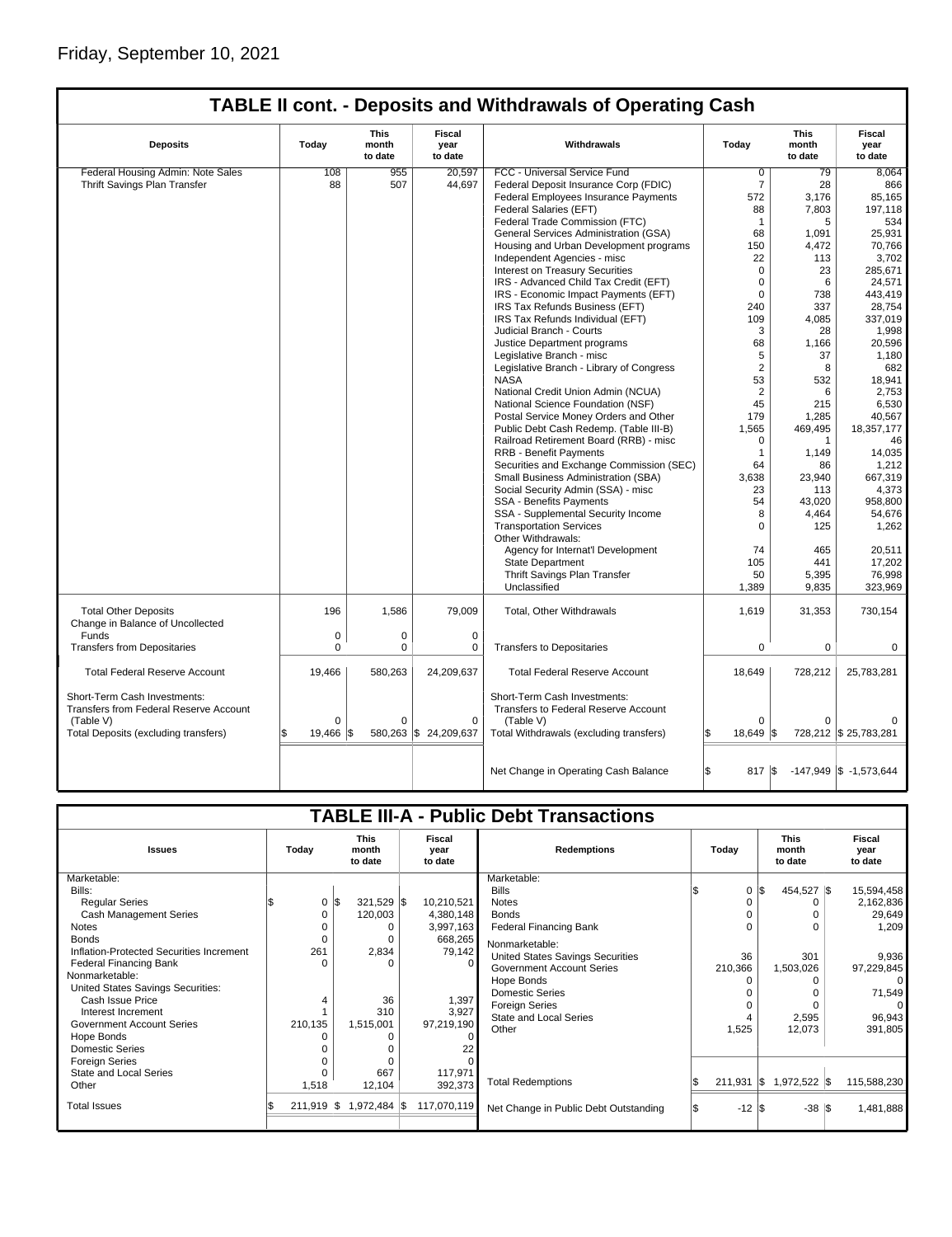| <b>TABLE II cont. - Deposits and Withdrawals of Operating Cash</b> |  |
|--------------------------------------------------------------------|--|
|--------------------------------------------------------------------|--|

| <b>Deposits</b>                                                        | Today       | This<br>month<br>to date | <b>Fiscal</b><br>year<br>to date | Withdrawals                                                          | Today          | This<br>month<br>to date | Fiscal<br>year<br>to date  |
|------------------------------------------------------------------------|-------------|--------------------------|----------------------------------|----------------------------------------------------------------------|----------------|--------------------------|----------------------------|
| Federal Housing Admin: Note Sales                                      | 108         | 955                      | 20,597                           | FCC - Universal Service Fund                                         | $\overline{0}$ | 79                       | 8,064                      |
| Thrift Savings Plan Transfer                                           | 88          | 507                      | 44,697                           | Federal Deposit Insurance Corp (FDIC)                                | $\overline{7}$ | 28                       | 866                        |
|                                                                        |             |                          |                                  | <b>Federal Employees Insurance Payments</b>                          | 572            | 3,176                    | 85,165                     |
|                                                                        |             |                          |                                  | Federal Salaries (EFT)                                               | 88             | 7,803                    | 197.118                    |
|                                                                        |             |                          |                                  | Federal Trade Commission (FTC)                                       | $\mathbf 1$    | 5                        | 534                        |
|                                                                        |             |                          |                                  | General Services Administration (GSA)                                | 68             | 1.091                    | 25,931                     |
|                                                                        |             |                          |                                  | Housing and Urban Development programs                               | 150            | 4,472                    | 70,766                     |
|                                                                        |             |                          |                                  | Independent Agencies - misc                                          | 22             | 113                      | 3,702                      |
|                                                                        |             |                          |                                  | Interest on Treasury Securities                                      | $\Omega$       | 23                       | 285,671                    |
|                                                                        |             |                          |                                  | IRS - Advanced Child Tax Credit (EFT)                                | $\mathbf 0$    | 6                        | 24,571                     |
|                                                                        |             |                          |                                  | IRS - Economic Impact Payments (EFT)                                 | $\Omega$       | 738                      | 443.419                    |
|                                                                        |             |                          |                                  | IRS Tax Refunds Business (EFT)                                       | 240            | 337                      | 28,754                     |
|                                                                        |             |                          |                                  | IRS Tax Refunds Individual (EFT)                                     | 109            | 4.085                    | 337,019                    |
|                                                                        |             |                          |                                  | Judicial Branch - Courts                                             | 3              |                          | 1,998                      |
|                                                                        |             |                          |                                  | Justice Department programs                                          | 68             | 28<br>1,166              | 20,596                     |
|                                                                        |             |                          |                                  |                                                                      | 5              | 37                       |                            |
|                                                                        |             |                          |                                  | Legislative Branch - misc                                            |                |                          | 1,180                      |
|                                                                        |             |                          |                                  | Legislative Branch - Library of Congress                             | $\overline{2}$ | 8                        | 682                        |
|                                                                        |             |                          |                                  | <b>NASA</b>                                                          | 53             | 532                      | 18,941                     |
|                                                                        |             |                          |                                  | National Credit Union Admin (NCUA)                                   | $\overline{2}$ | 6                        | 2,753                      |
|                                                                        |             |                          |                                  | National Science Foundation (NSF)                                    | 45             | 215                      | 6,530                      |
|                                                                        |             |                          |                                  | Postal Service Money Orders and Other                                | 179            | 1,285                    | 40,567                     |
|                                                                        |             |                          |                                  | Public Debt Cash Redemp. (Table III-B)                               | 1,565          | 469,495                  | 18,357,177                 |
|                                                                        |             |                          |                                  | Railroad Retirement Board (RRB) - misc                               | $\Omega$       | 1                        | 46                         |
|                                                                        |             |                          |                                  | <b>RRB - Benefit Payments</b>                                        | $\mathbf{1}$   | 1.149                    | 14,035                     |
|                                                                        |             |                          |                                  | Securities and Exchange Commission (SEC)                             | 64             | 86                       | 1,212                      |
|                                                                        |             |                          |                                  | Small Business Administration (SBA)                                  | 3,638          | 23,940                   | 667,319                    |
|                                                                        |             |                          |                                  | Social Security Admin (SSA) - misc                                   | 23             | 113                      | 4,373                      |
|                                                                        |             |                          |                                  | <b>SSA - Benefits Payments</b>                                       | 54             | 43,020                   | 958,800                    |
|                                                                        |             |                          |                                  | SSA - Supplemental Security Income                                   | 8              | 4,464                    | 54,676                     |
|                                                                        |             |                          |                                  | <b>Transportation Services</b><br>Other Withdrawals:                 | $\Omega$       | 125                      | 1,262                      |
|                                                                        |             |                          |                                  | Agency for Internat'l Development                                    | 74             | 465                      | 20,511                     |
|                                                                        |             |                          |                                  | <b>State Department</b>                                              | 105            | 441                      | 17,202                     |
|                                                                        |             |                          |                                  | Thrift Savings Plan Transfer                                         | 50             | 5,395                    | 76,998                     |
|                                                                        |             |                          |                                  | Unclassified                                                         | 1,389          | 9,835                    | 323,969                    |
| <b>Total Other Deposits</b>                                            | 196         | 1,586                    | 79,009                           | <b>Total, Other Withdrawals</b>                                      | 1,619          | 31,353                   | 730,154                    |
| Change in Balance of Uncollected                                       |             |                          |                                  |                                                                      |                |                          |                            |
| Funds                                                                  | $\mathsf 0$ | 0                        | $\mathbf 0$                      |                                                                      |                |                          |                            |
| <b>Transfers from Depositaries</b>                                     | $\Omega$    | $\Omega$                 | $\Omega$                         | <b>Transfers to Depositaries</b>                                     | 0              | 0                        | $\Omega$                   |
| <b>Total Federal Reserve Account</b>                                   | 19,466      | 580,263                  | 24,209,637                       | <b>Total Federal Reserve Account</b>                                 | 18,649         | 728,212                  | 25,783,281                 |
| Short-Term Cash Investments:<br>Transfers from Federal Reserve Account |             |                          |                                  | Short-Term Cash Investments:<br>Transfers to Federal Reserve Account |                |                          |                            |
| (Table V)                                                              | $\mathbf 0$ | $\Omega$                 | $\Omega$                         | (Table V)                                                            | $\Omega$       | $\Omega$                 |                            |
| Total Deposits (excluding transfers)                                   | 19.466   \$ |                          | 580,263 \$ 24,209,637            | Total Withdrawals (excluding transfers)                              | 18.649 \$      |                          | 728,212 \$ 25,783,281      |
|                                                                        |             |                          |                                  | Net Change in Operating Cash Balance                                 | S.<br>817 \\$  |                          | $-147,949$ \$ $-1,573,644$ |

|                                          |         |              |                                 |                                  | <b>TABLE III-A - Public Debt Transactions</b> |       |                  |          |                  |             |  |  |  |  |  |  |  |  |  |  |  |  |  |  |  |  |  |  |  |  |  |  |  |  |  |  |  |  |  |  |  |  |  |  |  |  |  |  |  |  |                                 |                           |
|------------------------------------------|---------|--------------|---------------------------------|----------------------------------|-----------------------------------------------|-------|------------------|----------|------------------|-------------|--|--|--|--|--|--|--|--|--|--|--|--|--|--|--|--|--|--|--|--|--|--|--|--|--|--|--|--|--|--|--|--|--|--|--|--|--|--|--|--|---------------------------------|---------------------------|
| <b>Issues</b>                            | Today   |              | <b>This</b><br>month<br>to date | <b>Fiscal</b><br>year<br>to date | <b>Redemptions</b>                            | Todav |                  |          |                  |             |  |  |  |  |  |  |  |  |  |  |  |  |  |  |  |  |  |  |  |  |  |  |  |  |  |  |  |  |  |  |  |  |  |  |  |  |  |  |  |  | <b>This</b><br>month<br>to date | Fiscal<br>year<br>to date |
| Marketable:                              |         |              |                                 |                                  | Marketable:                                   |       |                  |          |                  |             |  |  |  |  |  |  |  |  |  |  |  |  |  |  |  |  |  |  |  |  |  |  |  |  |  |  |  |  |  |  |  |  |  |  |  |  |  |  |  |  |                                 |                           |
| Bills:                                   |         |              |                                 |                                  | <b>Bills</b>                                  |       | $\Omega$         | \$       | 454,527 \$       | 15,594,458  |  |  |  |  |  |  |  |  |  |  |  |  |  |  |  |  |  |  |  |  |  |  |  |  |  |  |  |  |  |  |  |  |  |  |  |  |  |  |  |  |                                 |                           |
| <b>Regular Series</b>                    |         | 0            | \$<br>321,529 \$                | 10,210,521                       | <b>Notes</b>                                  |       |                  |          | $\Omega$         | 2,162,836   |  |  |  |  |  |  |  |  |  |  |  |  |  |  |  |  |  |  |  |  |  |  |  |  |  |  |  |  |  |  |  |  |  |  |  |  |  |  |  |  |                                 |                           |
| Cash Management Series                   |         |              | 120,003                         | 4,380,148                        | <b>Bonds</b>                                  |       |                  |          | O                | 29,649      |  |  |  |  |  |  |  |  |  |  |  |  |  |  |  |  |  |  |  |  |  |  |  |  |  |  |  |  |  |  |  |  |  |  |  |  |  |  |  |  |                                 |                           |
| <b>Notes</b>                             |         |              | O                               | 3,997,163                        | <b>Federal Financing Bank</b>                 |       |                  |          | 0                | 1,209       |  |  |  |  |  |  |  |  |  |  |  |  |  |  |  |  |  |  |  |  |  |  |  |  |  |  |  |  |  |  |  |  |  |  |  |  |  |  |  |  |                                 |                           |
| <b>Bonds</b>                             |         |              | O                               | 668,265                          | Nonmarketable:                                |       |                  |          |                  |             |  |  |  |  |  |  |  |  |  |  |  |  |  |  |  |  |  |  |  |  |  |  |  |  |  |  |  |  |  |  |  |  |  |  |  |  |  |  |  |  |                                 |                           |
| Inflation-Protected Securities Increment |         | 261          | 2,834                           | 79,142                           | <b>United States Savings Securities</b>       |       | 36               |          | 301              | 9.936       |  |  |  |  |  |  |  |  |  |  |  |  |  |  |  |  |  |  |  |  |  |  |  |  |  |  |  |  |  |  |  |  |  |  |  |  |  |  |  |  |                                 |                           |
| <b>Federal Financing Bank</b>            |         |              | ŋ                               |                                  | <b>Government Account Series</b>              |       | 210,366          |          | 1,503,026        | 97,229,845  |  |  |  |  |  |  |  |  |  |  |  |  |  |  |  |  |  |  |  |  |  |  |  |  |  |  |  |  |  |  |  |  |  |  |  |  |  |  |  |  |                                 |                           |
| Nonmarketable:                           |         |              |                                 |                                  | Hope Bonds                                    |       |                  |          |                  | $\Omega$    |  |  |  |  |  |  |  |  |  |  |  |  |  |  |  |  |  |  |  |  |  |  |  |  |  |  |  |  |  |  |  |  |  |  |  |  |  |  |  |  |                                 |                           |
| United States Savings Securities:        |         |              |                                 |                                  | <b>Domestic Series</b>                        |       |                  |          |                  | 71,549      |  |  |  |  |  |  |  |  |  |  |  |  |  |  |  |  |  |  |  |  |  |  |  |  |  |  |  |  |  |  |  |  |  |  |  |  |  |  |  |  |                                 |                           |
| Cash Issue Price                         |         |              | 36                              | 1,397                            | <b>Foreign Series</b>                         |       |                  |          | U                | $\Omega$    |  |  |  |  |  |  |  |  |  |  |  |  |  |  |  |  |  |  |  |  |  |  |  |  |  |  |  |  |  |  |  |  |  |  |  |  |  |  |  |  |                                 |                           |
| Interest Increment                       |         |              | 310                             | 3,927                            | <b>State and Local Series</b>                 |       |                  |          | 2,595            | 96,943      |  |  |  |  |  |  |  |  |  |  |  |  |  |  |  |  |  |  |  |  |  |  |  |  |  |  |  |  |  |  |  |  |  |  |  |  |  |  |  |  |                                 |                           |
| <b>Government Account Series</b>         | 210,135 |              | 1,515,001                       | 97,219,190                       | Other                                         |       | 1,525            |          | 12,073           | 391,805     |  |  |  |  |  |  |  |  |  |  |  |  |  |  |  |  |  |  |  |  |  |  |  |  |  |  |  |  |  |  |  |  |  |  |  |  |  |  |  |  |                                 |                           |
| Hope Bonds                               |         |              |                                 |                                  |                                               |       |                  |          |                  |             |  |  |  |  |  |  |  |  |  |  |  |  |  |  |  |  |  |  |  |  |  |  |  |  |  |  |  |  |  |  |  |  |  |  |  |  |  |  |  |  |                                 |                           |
| <b>Domestic Series</b>                   |         |              |                                 |                                  |                                               |       |                  |          |                  |             |  |  |  |  |  |  |  |  |  |  |  |  |  |  |  |  |  |  |  |  |  |  |  |  |  |  |  |  |  |  |  |  |  |  |  |  |  |  |  |  |                                 |                           |
| Foreign Series                           |         |              |                                 |                                  |                                               |       |                  |          |                  |             |  |  |  |  |  |  |  |  |  |  |  |  |  |  |  |  |  |  |  |  |  |  |  |  |  |  |  |  |  |  |  |  |  |  |  |  |  |  |  |  |                                 |                           |
| <b>State and Local Series</b>            |         |              | 667                             | 117,971                          |                                               |       |                  |          |                  |             |  |  |  |  |  |  |  |  |  |  |  |  |  |  |  |  |  |  |  |  |  |  |  |  |  |  |  |  |  |  |  |  |  |  |  |  |  |  |  |  |                                 |                           |
| Other                                    |         | 1,518        | 12,104                          | 392,373                          | <b>Total Redemptions</b>                      |       | 211,931          | <b>S</b> | 1,972,522 \$     | 115,588,230 |  |  |  |  |  |  |  |  |  |  |  |  |  |  |  |  |  |  |  |  |  |  |  |  |  |  |  |  |  |  |  |  |  |  |  |  |  |  |  |  |                                 |                           |
| <b>Total Issues</b>                      |         | $211,919$ \$ | 1,972,484 \$                    | 117,070,119                      | Net Change in Public Debt Outstanding         |       | $-12$ $\sqrt{3}$ |          | $-38$ $\sqrt{3}$ | 1,481,888   |  |  |  |  |  |  |  |  |  |  |  |  |  |  |  |  |  |  |  |  |  |  |  |  |  |  |  |  |  |  |  |  |  |  |  |  |  |  |  |  |                                 |                           |
|                                          |         |              |                                 |                                  |                                               |       |                  |          |                  |             |  |  |  |  |  |  |  |  |  |  |  |  |  |  |  |  |  |  |  |  |  |  |  |  |  |  |  |  |  |  |  |  |  |  |  |  |  |  |  |  |                                 |                           |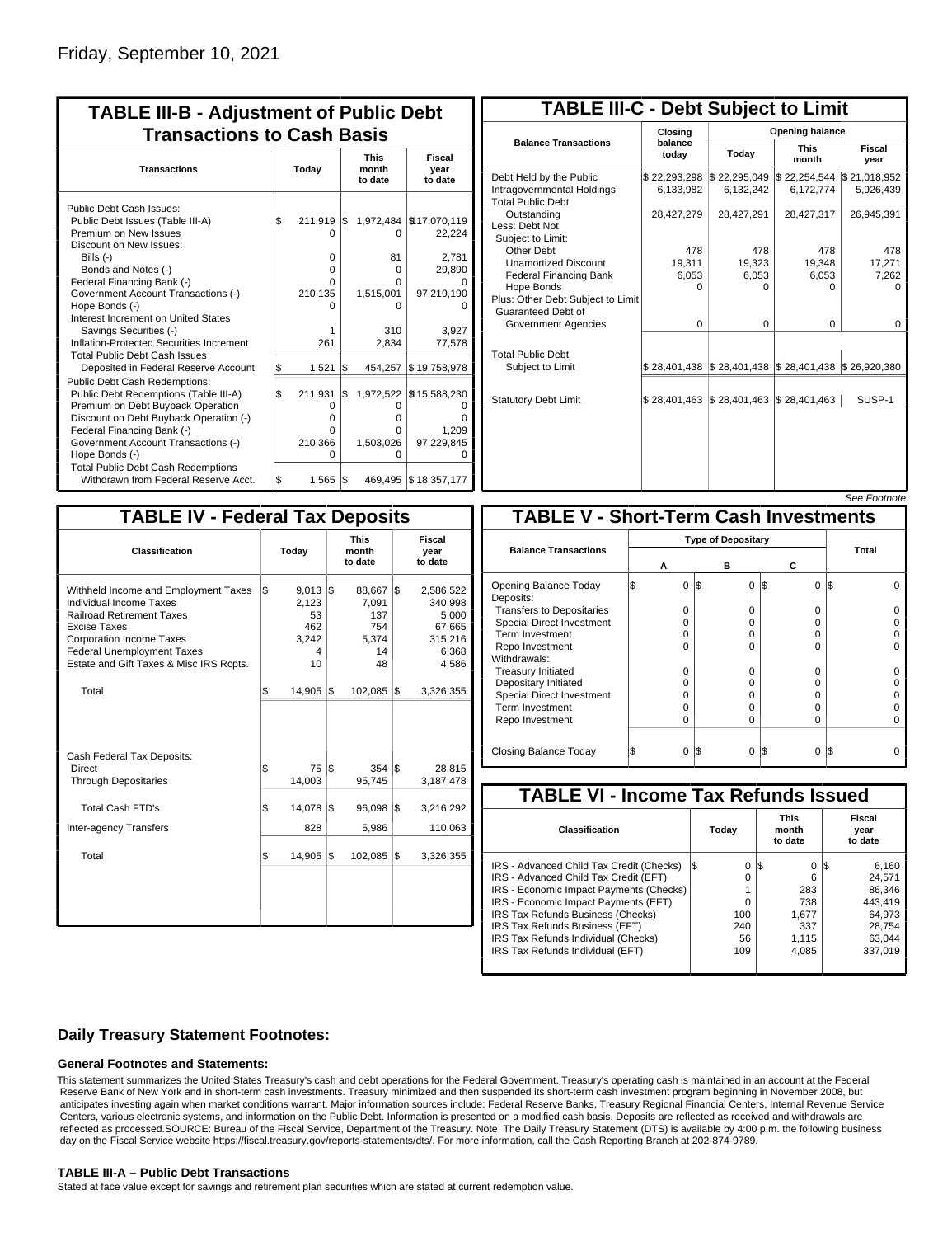| <b>TABLE III-B - Adjustment of Public Debt</b><br><b>Transactions to Cash Basis</b>                                                                                                                                                                                                                                                                                                                |           |                                                 |           |                                                            |                                                                                        |                                 |                                  |  |  |  |  |  |
|----------------------------------------------------------------------------------------------------------------------------------------------------------------------------------------------------------------------------------------------------------------------------------------------------------------------------------------------------------------------------------------------------|-----------|-------------------------------------------------|-----------|------------------------------------------------------------|----------------------------------------------------------------------------------------|---------------------------------|----------------------------------|--|--|--|--|--|
| <b>Transactions</b>                                                                                                                                                                                                                                                                                                                                                                                | Today     |                                                 |           |                                                            |                                                                                        | <b>This</b><br>month<br>to date | <b>Fiscal</b><br>year<br>to date |  |  |  |  |  |
| Public Debt Cash Issues:<br>Public Debt Issues (Table III-A)<br>Premium on New Issues<br>Discount on New Issues:<br>Bills $(-)$<br>Bonds and Notes (-)<br>Federal Financing Bank (-)<br>Government Account Transactions (-)<br>Hope Bonds (-)<br>Interest Increment on United States<br>Savings Securities (-)<br>Inflation-Protected Securities Increment<br><b>Total Public Debt Cash Issues</b> | \$        | 211,919<br>0<br>0<br>n<br>210,135<br>1<br>261   | 1\$       | O<br>81<br>$\Omega$<br>O<br>1,515,001<br>ი<br>310<br>2,834 | 1,972,484   \$17,070,119<br>22,224<br>2,781<br>29,890<br>97,219,190<br>3.927<br>77,578 |                                 |                                  |  |  |  |  |  |
| Deposited in Federal Reserve Account<br><b>Public Debt Cash Redemptions:</b><br>Public Debt Redemptions (Table III-A)<br>Premium on Debt Buyback Operation<br>Discount on Debt Buyback Operation (-)<br>Federal Financing Bank (-)<br>Government Account Transactions (-)<br>Hope Bonds (-)<br><b>Total Public Debt Cash Redemptions</b>                                                           | \$<br>l\$ | 1,521<br>211,931<br>0<br>o<br>0<br>210,366<br>ი | l\$<br>\$ | 454,257<br>O<br>o<br>o<br>1,503,026<br>ŋ                   | \$19,758,978<br>1,972,522 \\$15,588,230<br>1,209<br>97,229,845                         |                                 |                                  |  |  |  |  |  |
| Withdrawn from Federal Reserve Acct.                                                                                                                                                                                                                                                                                                                                                               | \$        | 1,565                                           | S.        |                                                            | 469,495 \$18,357,177                                                                   |                                 |                                  |  |  |  |  |  |

| <b>TABLE III-C - Debt Subject to Limit</b>                                        |                             |                                                                            |                           |                           |  |  |  |  |  |  |  |
|-----------------------------------------------------------------------------------|-----------------------------|----------------------------------------------------------------------------|---------------------------|---------------------------|--|--|--|--|--|--|--|
|                                                                                   | Closing                     | Opening balance                                                            |                           |                           |  |  |  |  |  |  |  |
| <b>Balance Transactions</b>                                                       | balance<br>today            | Today                                                                      | <b>This</b><br>month      | Fiscal<br>year            |  |  |  |  |  |  |  |
| Debt Held by the Public<br>Intragovernmental Holdings<br><b>Total Public Debt</b> | \$22,293,298<br>6,133,982   | \$22,295,049<br>6,132,242                                                  | \$22,254,544<br>6,172,774 | \$21,018,952<br>5,926,439 |  |  |  |  |  |  |  |
| Outstanding<br>Less: Debt Not<br>Subject to Limit:                                | 28,427,279                  | 28,427,291                                                                 | 28,427,317                | 26,945,391                |  |  |  |  |  |  |  |
| Other Debt                                                                        | 478                         | 478                                                                        | 478                       | 478                       |  |  |  |  |  |  |  |
| <b>Unamortized Discount</b>                                                       | 19,311                      | 19,323                                                                     | 19,348                    | 17,271                    |  |  |  |  |  |  |  |
| <b>Federal Financing Bank</b>                                                     | 6,053                       | 6,053                                                                      | 6,053                     | 7,262                     |  |  |  |  |  |  |  |
| Hope Bonds<br>Plus: Other Debt Subject to Limit<br>Guaranteed Debt of             | $\Omega$                    | O                                                                          | 0                         | n                         |  |  |  |  |  |  |  |
| Government Agencies                                                               | $\Omega$                    | $\Omega$                                                                   | $\Omega$                  | $\Omega$                  |  |  |  |  |  |  |  |
| <b>Total Public Debt</b><br>Subject to Limit                                      |                             | $\frac{1}{2}$ 28,401,438 $\frac{1}{2}$ 28,401,438 $\frac{1}{2}$ 28,401,438 |                           | \$26,920,380              |  |  |  |  |  |  |  |
| <b>Statutory Debt Limit</b>                                                       | $$28,401,463$ $$28,401,463$ |                                                                            | $\$\,28,401,463$          | SUSP-1                    |  |  |  |  |  |  |  |
|                                                                                   |                             |                                                                            |                           |                           |  |  |  |  |  |  |  |

See Footnote

| <b>TABLE IV - Federal Tax Deposits</b>                                                                                                                                                                                                        |     |                                                      |     |                                                       |                           |                                                                      |  |  |
|-----------------------------------------------------------------------------------------------------------------------------------------------------------------------------------------------------------------------------------------------|-----|------------------------------------------------------|-----|-------------------------------------------------------|---------------------------|----------------------------------------------------------------------|--|--|
| Classification                                                                                                                                                                                                                                |     | Today                                                |     | <b>This</b><br>month<br>to date                       | Fiscal<br>year<br>to date |                                                                      |  |  |
| Withheld Income and Employment Taxes<br>Individual Income Taxes<br><b>Railroad Retirement Taxes</b><br><b>Excise Taxes</b><br><b>Corporation Income Taxes</b><br><b>Federal Unemployment Taxes</b><br>Estate and Gift Taxes & Misc IRS Rcpts. | \$  | $9,013$ \$<br>2,123<br>53<br>462<br>3.242<br>4<br>10 |     | 88,667 \$<br>7,091<br>137<br>754<br>5.374<br>14<br>48 |                           | 2,586,522<br>340,998<br>5,000<br>67,665<br>315,216<br>6,368<br>4,586 |  |  |
| Total                                                                                                                                                                                                                                         | l\$ | 14,905                                               | 1\$ | 102,085                                               | 1\$                       | 3,326,355                                                            |  |  |
| Cash Federal Tax Deposits:<br>Direct<br><b>Through Depositaries</b>                                                                                                                                                                           | \$  | 75 IS<br>14,003                                      |     | 354 S<br>95,745                                       |                           | 28,815<br>3,187,478                                                  |  |  |
| Total Cash FTD's                                                                                                                                                                                                                              | Ŝ.  | 14,078                                               | 1\$ | 96,098                                                | 1\$                       | 3,216,292                                                            |  |  |
| <b>Inter-agency Transfers</b>                                                                                                                                                                                                                 |     | 828                                                  |     | 5,986                                                 |                           | 110,063                                                              |  |  |
| Total                                                                                                                                                                                                                                         | l\$ | 14,905                                               | 1\$ | 102,085                                               | Ι\$                       | 3,326,355                                                            |  |  |
|                                                                                                                                                                                                                                               |     |                                                      |     |                                                       |                           |                                                                      |  |  |

|                                              |                           |     |          |                 | טעט ו טטעו |  |
|----------------------------------------------|---------------------------|-----|----------|-----------------|------------|--|
| <b>TABLE V - Short-Term Cash Investments</b> |                           |     |          |                 |            |  |
|                                              | <b>Type of Depositary</b> |     |          |                 |            |  |
| <b>Balance Transactions</b>                  |                           |     |          |                 | Total      |  |
|                                              | А                         |     | в        | С               |            |  |
| Opening Balance Today<br>Deposits:           | 0                         | I\$ | $\Omega$ | 1\$<br>$\Omega$ | l\$        |  |
| <b>Transfers to Depositaries</b>             | O                         |     | $\Omega$ | $\Omega$        |            |  |
| <b>Special Direct Investment</b>             | O                         |     | O        | 0               |            |  |
| Term Investment                              | O                         |     | O        | $\Omega$        |            |  |
| Repo Investment                              | O                         |     | 0        | 0               |            |  |
| Withdrawals:                                 |                           |     |          |                 |            |  |
| <b>Treasury Initiated</b>                    | 0                         |     | 0        | 0               |            |  |
| Depositary Initiated                         | O                         |     | O        | 0               |            |  |
| <b>Special Direct Investment</b>             | O                         |     | O        | 0               |            |  |
| <b>Term Investment</b>                       | O                         |     | 0        | 0               |            |  |
| Repo Investment                              | O                         |     | 0        | 0               |            |  |
|                                              |                           |     |          |                 |            |  |
| Closing Balance Today                        | 0                         | I\$ | 0        | l\$<br>0        | 1\$        |  |

| <b>TABLE VI - Income Tax Refunds Issued</b> |    |       |     |                                 |     |                           |  |  |  |  |  |
|---------------------------------------------|----|-------|-----|---------------------------------|-----|---------------------------|--|--|--|--|--|
| <b>Classification</b>                       |    | Today |     | <b>This</b><br>month<br>to date |     | Fiscal<br>year<br>to date |  |  |  |  |  |
| IRS - Advanced Child Tax Credit (Checks)    | 13 | 0     | 1\$ | 0                               | 125 | 6,160                     |  |  |  |  |  |
| IRS - Advanced Child Tax Credit (EFT)       |    | 0     |     | 6                               |     | 24.571                    |  |  |  |  |  |
| IRS - Economic Impact Payments (Checks)     |    |       |     | 283                             |     | 86.346                    |  |  |  |  |  |
| IRS - Economic Impact Payments (EFT)        |    | 0     |     | 738                             |     | 443.419                   |  |  |  |  |  |
| IRS Tax Refunds Business (Checks)           |    | 100   |     | 1.677                           |     | 64.973                    |  |  |  |  |  |
| IRS Tax Refunds Business (EFT)              |    | 240   |     | 337                             |     | 28.754                    |  |  |  |  |  |
| IRS Tax Refunds Individual (Checks)         |    | 56    |     | 1.115                           |     | 63.044                    |  |  |  |  |  |
| IRS Tax Refunds Individual (EFT)            |    | 109   |     | 4,085                           |     | 337,019                   |  |  |  |  |  |
|                                             |    |       |     |                                 |     |                           |  |  |  |  |  |

### **Daily Treasury Statement Footnotes:**

#### **General Footnotes and Statements:**

This statement summarizes the United States Treasury's cash and debt operations for the Federal Government. Treasury's operating cash is maintained in an account at the Federal Reserve Bank of New York and in short-term cash investments. Treasury minimized and then suspended its short-term cash investment program beginning in November 2008, but anticipates investing again when market conditions warrant. Major information sources include: Federal Reserve Banks, Treasury Regional Financial Centers, Internal Revenue Service Centers, various electronic systems, and information on the Public Debt. Information is presented on a modified cash basis. Deposits are reflected as received and withdrawals are reflected as processed.SOURCE: Bureau of the Fiscal Service, Department of the Treasury. Note: The Daily Treasury Statement (DTS) is available by 4:00 p.m. the following business day on the Fiscal Service website https://fiscal.treasury.gov/reports-statements/dts/. For more information, call the Cash Reporting Branch at 202-874-9789.

#### **TABLE III-A – Public Debt Transactions**

Stated at face value except for savings and retirement plan securities which are stated at current redemption value.